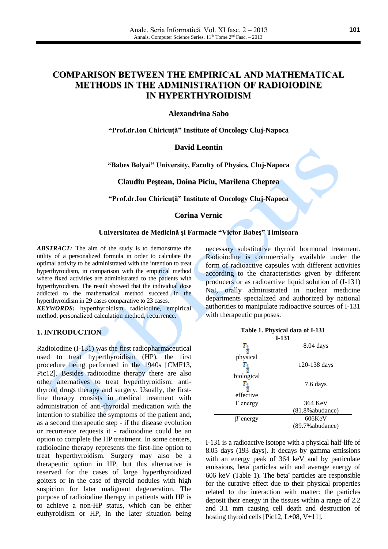# **COMPARISON BETWEEN THE EMPIRICAL AND MATHEMATICAL METHODS IN THE ADMINISTRATION OF RADIOIODINE IN HYPERTHYROIDISM**

**Alexandrina Sabo**

**"Prof.dr.Ion Chiricuţă" Institute of Oncology Cluj-Napoca**

## **David Leontin**

**"Babes Bolyai" University, Faculty of Physics, Cluj-Napoca**

**Claudiu Peştean, Doina Piciu, Marilena Cheptea**

**"Prof.dr.Ion Chiricuţă" Institute of Oncology Cluj-Napoca**

#### **Corina Vernic**

#### **Universitatea de Medicină şi Farmacie "Victor Babeş" Timişoara**

*ABSTRACT:* The aim of the study is to demonstrate the utility of a personalized formula in order to calculate the optimal activity to be administrated with the intention to treat hyperthyroidism, in comparison with the empirical method where fixed activities are administrated to the patients with hyperthyroidism. The result showed that the individual dose addicted to the mathematical method succeed in the hyperthyroidism in 29 cases comparative to 23 cases.

*KEYWORDS:* hyperthyroidism, radioiodine, empirical method, personalized calculation method, recurrence.

## **1. INTRODUCTION**

Radioiodine (I-131) was the first radiopharmaceutical used to treat hyperthyroidism (HP), the first procedure being performed in the 1940s [CMF13, Pic12]. Besides radioiodine therapy there are also other alternatives to treat hyperthyroidism: antithyroid drugs therapy and surgery. Usually, the firstline therapy consists in medical treatment with administration of anti-thyroidal medication with the intention to stabilize the symptoms of the patient and, as a second therapeutic step - if the disease evolution or recurrence requests it - radioiodine could be an option to complete the HP treatment. In some centers, radioiodine therapy represents the first-line option to treat hyperthyroidism. Surgery may also be a therapeutic option in HP, but this alternative is reserved for the cases of large hyperthyroidized goiters or in the case of thyroid nodules with high suspicion for later malignant degeneration. The purpose of radioiodine therapy in patients with HP is to achieve a non-HP status, which can be either euthyroidism or HP, in the later situation being

necessary substitutive thyroid hormonal treatment. Radioiodine is commercially available under the form of radioactive capsules with different activities according to the characteristics given by different producers or as radioactive liquid solution of (I-131) NaI, orally administrated in nuclear medicine departments specialized and authorized by national authorities to manipulate radioactive sources of I-131 with therapeutic purposes.

| $I-131$         |                     |  |
|-----------------|---------------------|--|
|                 | 8.04 days           |  |
|                 |                     |  |
| physical        |                     |  |
|                 | 120-138 days        |  |
|                 |                     |  |
| biological      |                     |  |
| Γ1              | 7.6 days            |  |
|                 |                     |  |
| effective       |                     |  |
| $\Gamma$ energy | 364 KeV             |  |
|                 | $(81.8\%$ abudance) |  |
| energy          | $606$ KeV           |  |
|                 | (89.7% abudance)    |  |

**Table 1. Physical data of I-131**

I-131 is a radioactive isotope with a physical half-life of 8.05 days (193 days). It decays by gamma emissions with an energy peak of 364 keV and by particulate emissions, beta<sup>-</sup> particles with and average energy of 606 keV (Table 1). The beta<sup>-</sup> particles are responsible for the curative effect due to their physical properties related to the interaction with matter: the particles deposit their energy in the tissues within a range of 2.2 and 3.1 mm causing cell death and destruction of hosting thyroid cells [Pic12, L+08, V+11].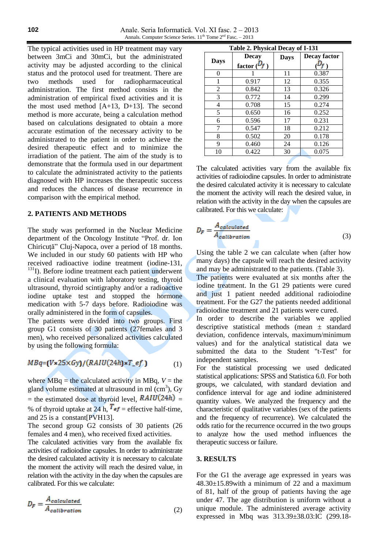Anale. Seria Informatică. Vol. XI fasc. 2 – 2013 Annals. Computer Science Series. 11<sup>th</sup> Tome 2<sup>nd</sup> Fasc. - 2013

The typical activities used in HP treatment may vary between 3mCi and 30mCi, but the administrated activity may be adjusted according to the clinical status and the protocol used for treatment. There are two methods used for radiopharmaceutical administration. The first method consists in the administration of empirical fixed activities and it is the most used method [A+13, D+13]. The second method is more accurate, being a calculation method based on calculations designated to obtain a more accurate estimation of the necessary activity to be administrated to the patient in order to achieve the desired therapeutic effect and to minimize the irradiation of the patient. The aim of the study is to demonstrate that the formula used in our department to calculate the administrated activity to the patients diagnosed with HP increases the therapeutic success and reduces the chances of disease recurrence in comparison with the empirical method.

#### **2. PATIENTS AND METHODS**

The study was performed in the Nuclear Medicine department of the Oncology Institute "Prof. dr. Ion Chiricută" Cluj-Napoca, over a period of 18 months. We included in our study 60 patients with HP who received radioactive iodine treatment (iodine-131, <sup>131</sup>I). Before iodine treatment each patient underwent a clinical evaluation with laboratory testing, thyroid ultrasound, thyroid scintigraphy and/or a radioactive iodine uptake test and stopped the hormone medication with 5-7 days before. Radioiodine was orally administered in the form of capsules.

The patients were divided into two groups. First group G1 consists of 30 patients (27females and 3 men), who received personalized activities calculated by using the following formula:

$$
MBq = (V \times 25 \times Gy) / (RAIU(24h) \times T\_ef) \tag{1}
$$

where  $MBq$  = the calculated activity in MBq,  $V =$  the gland volume estimated at ultrasound in ml  $(cm<sup>3</sup>)$ , Gy = the estimated dose at thyroid level,  $RAIU(24h)$  = % of thyroid uptake at 24 h,  $T_{ef}$  = effective half-time, and 25 is a constant[PVH13].

The second group G2 consists of 30 patients (26 females and 4 men), who received fixed activities.

The calculated activities vary from the available fix activities of radioiodine capsules. In order to administrate the desired calculated activity it is necessary to calculate the moment the activity will reach the desired value, in relation with the activity in the day when the capsules are calibrated. For this we calculate:

$$
D_F = \frac{A_{calculated}}{A_{calibration}}\tag{2}
$$

| Table 2. Physical Decay of I-131 |                  |             |              |
|----------------------------------|------------------|-------------|--------------|
|                                  | <b>Decay</b>     | <b>Days</b> | Decay factor |
| <b>Days</b>                      | factor $(\nu_f)$ |             |              |
| 0                                |                  | 11          | 0.387        |
| 1                                | 0.917            | 12          | 0.355        |
| 2                                | 0.842            | 13          | 0.326        |
| 3                                | 0.772            | 14          | 0.299        |
| 4                                | 0.708            | 15          | 0.274        |
| 5                                | 0.650            | 16          | 0.252        |
| 6<br>7                           | 0.596            | 17          | 0.231        |
|                                  | 0.547            | 18          | 0.212        |
| 8                                | 0.502            | 20          | 0.178        |
| 9                                | 0.460            | 24          | 0.126        |
| 10                               | 0.422            | 30          | 0.075        |

The calculated activities vary from the available fix activities of radioiodine capsules. In order to administrate the desired calculated activity it is necessary to calculate the moment the activity will reach the desired value, in relation with the activity in the day when the capsules are calibrated. For this we calculate:

$$
D_F = \frac{A_{calculated}}{A_{calibration}}
$$
 (3)

Using the table 2 we can calculate when (after how many days) the capsule will reach the desired activity and may be administrated to the patients. (Table 3).

The patients were evaluated at six months after the iodine treatment. In the G1 29 patients were cured and just 1 patient needed additional radioiodine treatment. For the G27 the patients needed additional radioiodine treatment and 21 patients were cured.

In order to describe the variables we applied descriptive statistical methods (mean ± standard deviation, confidence intervals, maximum/minimum values) and for the analytical statistical data we submitted the data to the Student "t-Test" for independent samples.

For the statistical processing we used dedicated statistical applications: SPSS and Statistica 6.0. For both groups, we calculated, with standard deviation and confidence interval for age and iodine administered quantity values. We analyzed the frequency and the characteristic of qualitative variables (sex of the patients and the frequency of recurrence). We calculated the odds ratio for the recurrence occurred in the two groups to analyze how the used method influences the therapeutic success or failure.

### **3. RESULTS**

For the G1 the average age expressed in years was 48.30±15.89with a minimum of 22 and a maximum of 81, half of the group of patients having the age under 47. The age distribution is uniform without a unique module. The administered average activity expressed in Mbq was 313.39±38.03:IC (299.18-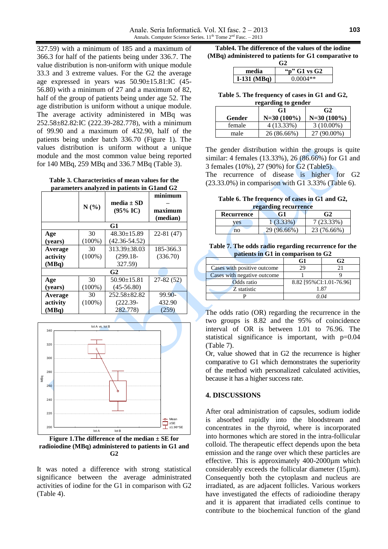327.59) with a minimum of 185 and a maximum of 366.3 for half of the patients being under 336.7. The value distribution is non-uniform with unique module 33.3 and 3 extreme values. For the G2 the average age expressed in years was 50.90±15.81:IC (45- 56.80) with a minimum of 27 and a maximum of 82, half of the group of patients being under age 52. The age distribution is uniform without a unique module. The average activity administered in MBq was 252.58±82.82:IC (222.39-282.778), with a minimum of 99.90 and a maximum of 432.90, half of the patients being under batch 336.70 (Figure 1). The values distribution is uniform without a unique module and the most common value being reported for 140 MBq, 259 MBq and 336.7 MBq (Table 3).

**Table 3. Characteristics of mean values for the parameters analyzed in patients in G1and G2**

|                |           |                     | minimum     |
|----------------|-----------|---------------------|-------------|
|                |           | media $\pm$ SD      |             |
|                | N(%)      | $(95\% \text{ IC})$ | maximum     |
|                |           |                     | (median)    |
|                |           | G1                  |             |
| Age            | 30        | $48.30 \pm 15.89$   | $22-81(47)$ |
| (vears)        | $(100\%)$ | $(42.36 - 54.52)$   |             |
| Average        | 30        | $313.39 \pm 38.03$  | 185-366.3   |
| activity       | $(100\%)$ | $(299.18 -$         | (336.70)    |
| (MBq)          |           | 327.59)             |             |
| G <sub>2</sub> |           |                     |             |
| Age            | 30        | $50.90 \pm 15.81$   | $27-82(52)$ |
| (vears)        | $(100\%)$ | $(45-56.80)$        |             |
| Average        | 30        | 252.58+82.82        | 99.90-      |
| activity       | $(100\%)$ | $(222.39 -$         | 432.90      |
| (MBq)          |           | 282.778)            | (259)       |



**Figure 1.The difference of the median ± SE for radioiodine (MBq) administered to patients in G1 and G2**

It was noted a difference with strong statistical significance between the average administrated activities of iodine for the G1 in comparison with G2 (Table 4).

**Table4. The difference of the values of the iodine (MBq) administered to patients for G1 comparative to**

| G2                        |            |  |
|---------------------------|------------|--|
| "p" $G1$ vs $G2$<br>media |            |  |
| I-131 $(MBq)$             | $0.0004**$ |  |

**Table 5. The frequency of cases in G1 and G2, regarding to gender**

| regarumg to genuer |               |                |  |
|--------------------|---------------|----------------|--|
|                    | G1            | G <sub>2</sub> |  |
| Gender             | $N=30(100\%)$ | $N=30(100\%)$  |  |
| female             | $4(13.33\%)$  | $3(10.00\%)$   |  |
| male               | 26 (86.66%)   | 27 (90.00%)    |  |

The gender distribution within the groups is quite similar: 4 females (13.33%), 26 (86.66%) for G1 and 3 females (10%), 27 (90%) for G2 (Table5).

The recurrence of disease is higher for G2 (23.33.0%) in comparison with G1 3.33% (Table 6).

**Table 6. The frequency of cases in G1 and G2, regarding recurrence**

| Recurrence | G1          | G <sub>2</sub> |
|------------|-------------|----------------|
| ves        | $(3.33\%$   | $7(23.33\%)$   |
| no         | 29 (96.66%) | 23 (76.66%)    |

**Table 7. The odds radio regarding recurrence for the patients in G1 in comparison to G2**

|                             |                         | G2 |
|-----------------------------|-------------------------|----|
| Cases with positive outcome | 29                      |    |
| Cases with negative outcome |                         |    |
| Odds ratio                  | 8.82 [95%CI:1.01-76.96] |    |
| Z statistic                 | 1.87                    |    |
|                             | O O4                    |    |

The odds ratio (OR) regarding the recurrence in the two groups is 8.82 and the 95% of coincidence interval of OR is between 1.01 to 76.96. The statistical significance is important, with  $p=0.04$ (Table 7).

Or, value showed that in G2 the recurrence is higher comparative to G1 which demonstrates the superiority of the method with personalized calculated activities, because it has a higher success rate.

#### **4. DISCUSSIONS**

After oral administration of capsules, sodium iodide is absorbed rapidly into the bloodstream and concentrates in the thyroid, where is incorporated into hormones which are stored in the intra-follicular colloid. The therapeutic effect depends upon the beta emission and the range over which these particles are effective. This is approximately 400-2000µm which considerably exceeds the follicular diameter (15µm). Consequently both the cytoplasm and nucleus are irradiated, as are adjacent follicles. Various workers have investigated the effects of radioiodine therapy and it is apparent that irradiated cells continue to contribute to the biochemical function of the gland